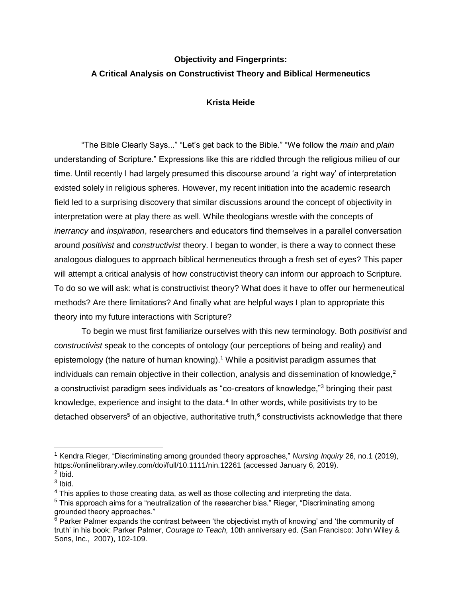## **Objectivity and Fingerprints: A Critical Analysis on Constructivist Theory and Biblical Hermeneutics**

## **Krista Heide**

"The Bible Clearly Says..." "Let's get back to the Bible." "We follow the *main* and *plain* understanding of Scripture." Expressions like this are riddled through the religious milieu of our time. Until recently I had largely presumed this discourse around 'a right way' of interpretation existed solely in religious spheres. However, my recent initiation into the academic research field led to a surprising discovery that similar discussions around the concept of objectivity in interpretation were at play there as well. While theologians wrestle with the concepts of *inerrancy* and *inspiration*, researchers and educators find themselves in a parallel conversation around *positivist* and *constructivist* theory. I began to wonder, is there a way to connect these analogous dialogues to approach biblical hermeneutics through a fresh set of eyes? This paper will attempt a critical analysis of how constructivist theory can inform our approach to Scripture. To do so we will ask: what is constructivist theory? What does it have to offer our hermeneutical methods? Are there limitations? And finally what are helpful ways I plan to appropriate this theory into my future interactions with Scripture?

To begin we must first familiarize ourselves with this new terminology. Both *positivist* and *constructivist* speak to the concepts of ontology (our perceptions of being and reality) and epistemology (the nature of human knowing).<sup>1</sup> While a positivist paradigm assumes that individuals can remain objective in their collection, analysis and dissemination of knowledge, $2$ a constructivist paradigm sees individuals as "co-creators of knowledge,"<sup>3</sup> bringing their past knowledge, experience and insight to the data.<sup>4</sup> In other words, while positivists try to be detached observers<sup>5</sup> of an objective, authoritative truth, $6$  constructivists acknowledge that there

<sup>1</sup> Kendra Rieger, "Discriminating among grounded theory approaches," *Nursing Inquiry* 26, no.1 (2019), <https://onlinelibrary.wiley.com/doi/full/10.1111/nin.12261> (accessed January 6, 2019).  $2$  lbid.

 $3$  lbid.

<sup>&</sup>lt;sup>4</sup> This applies to those creating data, as well as those collecting and interpreting the data.

<sup>5</sup> This approach aims for a "neutralization of the researcher bias." Rieger, "Discriminating among grounded theory approaches."

 $6$  Parker Palmer expands the contrast between 'the objectivist myth of knowing' and 'the community of truth' in his book: Parker Palmer, *Courage to Teach,* 10th anniversary ed. (San Francisco: John Wiley & Sons, Inc., 2007), 102-109.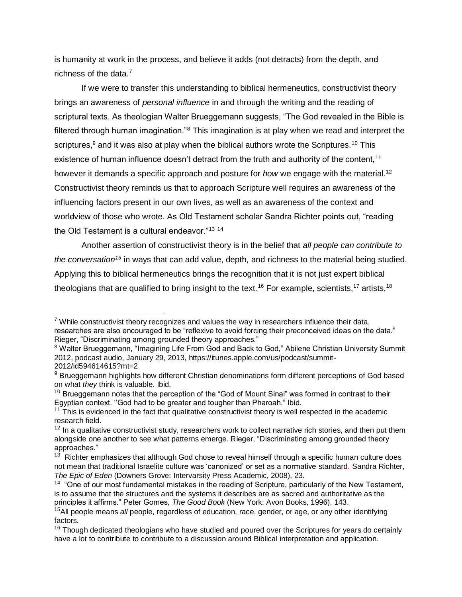is humanity at work in the process, and believe it adds (not detracts) from the depth, and richness of the data.<sup>7</sup>

If we were to transfer this understanding to biblical hermeneutics, constructivist theory brings an awareness of *personal influence* in and through the writing and the reading of scriptural texts. As theologian Walter Brueggemann suggests, "The God revealed in the Bible is filtered through human imagination."<sup>8</sup> This imagination is at play when we read and interpret the scriptures, $9$  and it was also at play when the biblical authors wrote the Scriptures.<sup>10</sup> This existence of human influence doesn't detract from the truth and authority of the content,<sup>11</sup> however it demands a specific approach and posture for *how* we engage with the material.<sup>12</sup> Constructivist theory reminds us that to approach Scripture well requires an awareness of the influencing factors present in our own lives, as well as an awareness of the context and worldview of those who wrote. As Old Testament scholar Sandra Richter points out, "reading the Old Testament is a cultural endeavor."<sup>13</sup> <sup>14</sup>

Another assertion of constructivist theory is in the belief that *all people can contribute to the conversation<sup>15</sup>* in ways that can add value, depth, and richness to the material being studied. Applying this to biblical hermeneutics brings the recognition that it is not just expert biblical theologians that are qualified to bring insight to the text.<sup>16</sup> For example, scientists,<sup>17</sup> artists,<sup>18</sup>

 $7$  While constructivist theory recognizes and values the way in researchers influence their data, researches are also encouraged to be "reflexive to avoid forcing their preconceived ideas on the data." Rieger, "Discriminating among grounded theory approaches."

<sup>&</sup>lt;sup>8</sup> Walter Brueggemann, "Imagining Life From God and Back to God," Abilene Christian University Summit 2012, podcast audio, January 29, 2013, https://itunes.apple.com/us/podcast/summit-2012/id594614615?mt=2

<sup>&</sup>lt;sup>9</sup> Brueggemann highlights how different Christian denominations form different perceptions of God based on what *they* think is valuable. Ibid.

<sup>&</sup>lt;sup>10</sup> Brueggemann notes that the perception of the "God of Mount Sinai" was formed in contrast to their Egyptian context. ''God had to be greater and tougher than Pharoah." Ibid.

 $11$  This is evidenced in the fact that qualitative constructivist theory is well respected in the academic research field.

 $12$  In a qualitative constructivist study, researchers work to collect narrative rich stories, and then put them alongside one another to see what patterns emerge. Rieger, "Discriminating among grounded theory approaches."

 $13$  Richter emphasizes that although God chose to reveal himself through a specific human culture does not mean that traditional Israelite culture was 'canonized' or set as a normative standard. Sandra Richter, *The Epic of Eden* (Downers Grove: Intervarsity Press Academic, 2008), 23.

 $14$  "One of our most fundamental mistakes in the reading of Scripture, particularly of the New Testament, is to assume that the structures and the systems it describes are as sacred and authoritative as the principles it affirms." Peter Gomes, *The Good Book* (New York: Avon Books, 1996), 143.

<sup>15</sup>All people means *all* people, regardless of education, race, gender, or age, or any other identifying factors.

<sup>&</sup>lt;sup>16</sup> Though dedicated theologians who have studied and poured over the Scriptures for years do certainly have a lot to contribute to contribute to a discussion around Biblical interpretation and application.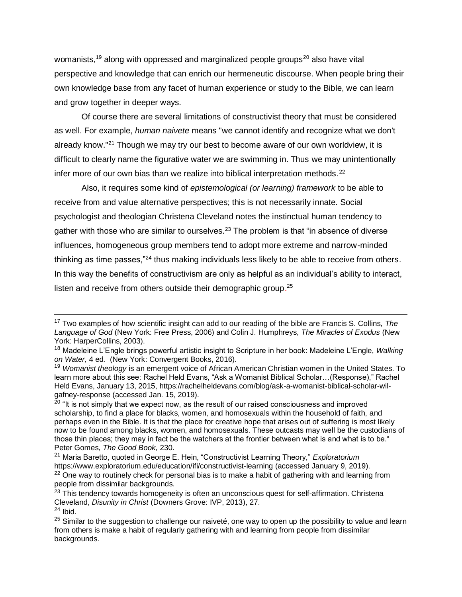womanists,<sup>19</sup> along with oppressed and marginalized people groups<sup>20</sup> also have vital perspective and knowledge that can enrich our hermeneutic discourse. When people bring their own knowledge base from any facet of human experience or study to the Bible, we can learn and grow together in deeper ways.

Of course there are several limitations of constructivist theory that must be considered as well. For example, *human naivete* means "we cannot identify and recognize what we don't already know."<sup>21</sup> Though we may try our best to become aware of our own worldview, it is difficult to clearly name the figurative water we are swimming in. Thus we may unintentionally infer more of our own bias than we realize into biblical interpretation methods. $^{22}$ 

Also, it requires some kind of *epistemological (or learning) framework* to be able to receive from and value alternative perspectives; this is not necessarily innate. Social psychologist and theologian Christena Cleveland notes the instinctual human tendency to gather with those who are similar to ourselves.<sup>23</sup> The problem is that "in absence of diverse influences, homogeneous group members tend to adopt more extreme and narrow-minded thinking as time passes,"<sup>24</sup> thus making individuals less likely to be able to receive from others. In this way the benefits of constructivism are only as helpful as an individual's ability to interact, listen and receive from others outside their demographic group.<sup>25</sup>

<sup>17</sup> Two examples of how scientific insight can add to our reading of the bible are Francis S. Collins, *The Language of God* (New York: Free Press, 2006) and Colin J. Humphreys, *The Miracles of Exodus* (New York: HarperCollins, 2003).

<sup>18</sup> Madeleine L'Engle brings powerful artistic insight to Scripture in her book: Madeleine L'Engle, *Walking on Water,* 4 ed*.* (New York: Convergent Books, 2016).

<sup>19</sup> *Womanist theology* is an emergent voice of African American Christian women in the United States. To learn more about this see: Rachel Held Evans, "Ask a Womanist Biblical Scholar…(Response)," Rachel Held Evans, January 13, 2015, [https://rachelheldevans.com/blog/ask-a-womanist-biblical-scholar-wil](https://rachelheldevans.com/blog/ask-a-womanist-biblical-scholar-wil-gafney-response)[gafney-response](https://rachelheldevans.com/blog/ask-a-womanist-biblical-scholar-wil-gafney-response) (accessed Jan. 15, 2019).

 $20$  "It is not simply that we expect now, as the result of our raised consciousness and improved scholarship, to find a place for blacks, women, and homosexuals within the household of faith, and perhaps even in the Bible. It is that the place for creative hope that arises out of suffering is most likely now to be found among blacks, women, and homosexuals. These outcasts may well be the custodians of those thin places; they may in fact be the watchers at the frontier between what is and what is to be." Peter Gomes, *The Good Book,* 230.

<sup>21</sup> Maria Baretto, quoted in George E. Hein, "Constructivist Learning Theory," *Exploratorium*  <https://www.exploratorium.edu/education/ifi/constructivist-learning> (accessed January 9, 2019).  $22$  One way to routinely check for personal bias is to make a habit of gathering with and learning from people from dissimilar backgrounds.

<sup>&</sup>lt;sup>23</sup> This tendency towards homogeneity is often an unconscious quest for self-affirmation. Christena Cleveland, *Disunity in Christ* (Downers Grove: IVP, 2013), 27.  $24$  Ibid.

<sup>&</sup>lt;sup>25</sup> Similar to the suggestion to challenge our naiveté, one way to open up the possibility to value and learn from others is make a habit of regularly gathering with and learning from people from dissimilar backgrounds.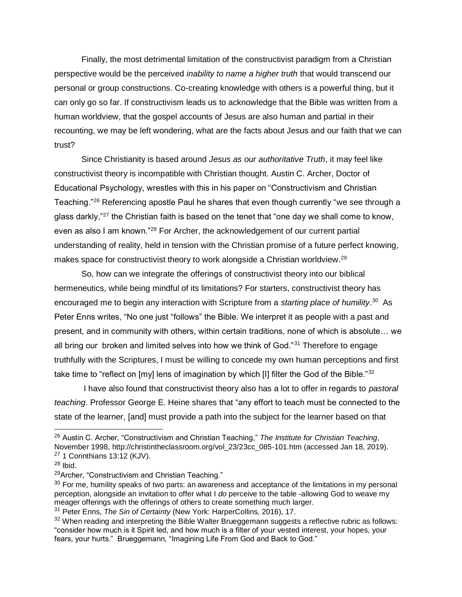Finally, the most detrimental limitation of the constructivist paradigm from a Christian perspective would be the perceived *inability to name a higher truth* that would transcend our personal or group constructions. Co-creating knowledge with others is a powerful thing, but it can only go so far. If constructivism leads us to acknowledge that the Bible was written from a human worldview, that the gospel accounts of Jesus are also human and partial in their recounting, we may be left wondering, what are the facts about Jesus and our faith that we can trust?

Since Christianity is based around *Jesus as our authoritative Truth*, it may feel like constructivist theory is incompatible with Christian thought. Austin C. Archer, Doctor of Educational Psychology, wrestles with this in his paper on "Constructivism and Christian Teaching."<sup>26</sup> Referencing apostle Paul he shares that even though currently "we see through a glass darkly,"<sup>27</sup> the Christian faith is based on the tenet that "one day we shall come to know, even as also I am known."<sup>28</sup> For Archer, the acknowledgement of our current partial understanding of reality, held in tension with the Christian promise of a future perfect knowing*,* makes space for constructivist theory to work alongside a Christian worldview.<sup>29</sup>

So, how can we integrate the offerings of constructivist theory into our biblical hermeneutics, while being mindful of its limitations? For starters, constructivist theory has encouraged me to begin any interaction with Scripture from a starting place of humility.<sup>30</sup> As Peter Enns writes, "No one just "follows" the Bible. We interpret it as people with a past and present, and in community with others, within certain traditions, none of which is absolute… we all bring our broken and limited selves into how we think of God."<sup>31</sup> Therefore to engage truthfully with the Scriptures, I must be willing to concede my own human perceptions and first take time to "reflect on  $[my]$  lens of imagination by which [I] filter the God of the Bible." $32$ 

I have also found that constructivist theory also has a lot to offer in regards to *pastoral teaching*. Professor George E. Heine shares that "any effort to teach must be connected to the state of the learner, [and] must provide a path into the subject for the learner based on that

<sup>26</sup> Austin C. Archer, "Constructivism and Christian Teaching," *The Institute for Christian Teaching*,

November 1998, [http://christintheclassroom.org/vol\\_23/23cc\\_085-101.htm](http://christintheclassroom.org/vol_23/23cc_085-101.htm) (accessed Jan 18, 2019). <sup>27</sup> 1 Corinthians 13:12 (KJV).

<sup>28</sup> Ibid.

<sup>&</sup>lt;sup>29</sup>Archer, "Constructivism and Christian Teaching."

 $30$  For me, humility speaks of two parts: an awareness and acceptance of the limitations in my personal perception, alongside an invitation to offer what I *do* perceive to the table -allowing God to weave my meager offerings with the offerings of others to create something much larger.

<sup>31</sup> Peter Enns, *The Sin of Certainty* (New York: HarperCollins, 2016), 17.

<sup>&</sup>lt;sup>32</sup> When reading and interpreting the Bible Walter Brueggemann suggests a reflective rubric as follows: "consider how much is it Spirit led, and how much is a filter of your vested interest, your hopes, your fears, your hurts." Brueggemann, "Imagining Life From God and Back to God."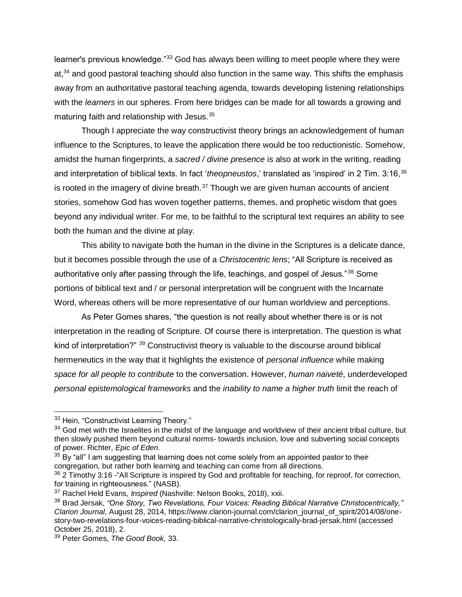learner's previous knowledge."<sup>33</sup> God has always been willing to meet people where they were at,<sup>34</sup> and good pastoral teaching should also function in the same way. This shifts the emphasis away from an authoritative pastoral teaching agenda, towards developing listening relationships with the *learners* in our spheres. From here bridges can be made for all towards a growing and maturing faith and relationship with Jesus.<sup>35</sup>

Though I appreciate the way constructivist theory brings an acknowledgement of human influence to the Scriptures, to leave the application there would be too reductionistic. Somehow, amidst the human fingerprints, a *sacred / divine presence* is also at work in the writing, reading and interpretation of biblical texts. In fact 'theopneustos,' translated as 'inspired' in 2 Tim. 3:16,<sup>36</sup> is rooted in the imagery of divine breath. $37$  Though we are given human accounts of ancient stories, somehow God has woven together patterns, themes, and prophetic wisdom that goes beyond any individual writer. For me, to be faithful to the scriptural text requires an ability to see both the human and the divine at play.

This ability to navigate both the human in the divine in the Scriptures is a delicate dance, but it becomes possible through the use of a *Christocentric lens*; "All Scripture is received as authoritative only after passing through the life, teachings, and gospel of Jesus."<sup>38</sup> Some portions of biblical text and / or personal interpretation will be congruent with the Incarnate Word, whereas others will be more representative of our human worldview and perceptions.

As Peter Gomes shares, "the question is not really about whether there is or is not interpretation in the reading of Scripture. Of course there is interpretation. The question is what kind of interpretation?" <sup>39</sup> Constructivist theory is valuable to the discourse around biblical hermeneutics in the way that it highlights the existence of *personal influence* while making *space for all people to contribute* to the conversation. However, *human naiveté*, underdeveloped *personal epistemological frameworks* and the *inability to name a higher truth* limit the reach of

 $\overline{a}$ 

 $35$  By "all" I am suggesting that learning does not come solely from an appointed pastor to their congregation, but rather both learning and teaching can come from all directions.

<sup>33</sup> Hein, "Constructivist Learning Theory."

<sup>&</sup>lt;sup>34</sup> God met with the Israelites in the midst of the language and worldview of their ancient tribal culture, but then slowly pushed them beyond cultural norms- towards inclusion, love and subverting social concepts of power. Richter, *Epic of Eden.* 

<sup>&</sup>lt;sup>36</sup> 2 Timothy 3:16 - "All Scripture is inspired by God and profitable for teaching, for reproof, for correction, for training in righteousness." (NASB).

<sup>37</sup> Rachel Held Evans, *Inspired* (Nashville: Nelson Books, 2018), xxii.

<sup>38</sup> Brad Jersak, *"One Story, Two Revelations, Four Voices: Reading Biblical Narrative Christocentrically," Clarion Journal*, August 28, 2014, [https://www.clarion-journal.com/clarion\\_journal\\_of\\_spirit/2014/08/one](https://www.clarion-journal.com/clarion_journal_of_spirit/2014/08/one-story-two-revelations-four-voices-reading-biblical-narrative-christologically-brad-jersak.html)[story-two-revelations-four-voices-reading-biblical-narrative-christologically-brad-jersak.html](https://www.clarion-journal.com/clarion_journal_of_spirit/2014/08/one-story-two-revelations-four-voices-reading-biblical-narrative-christologically-brad-jersak.html) (accessed October 25, 2018), 2.

<sup>39</sup> Peter Gomes, *The Good Book,* 33.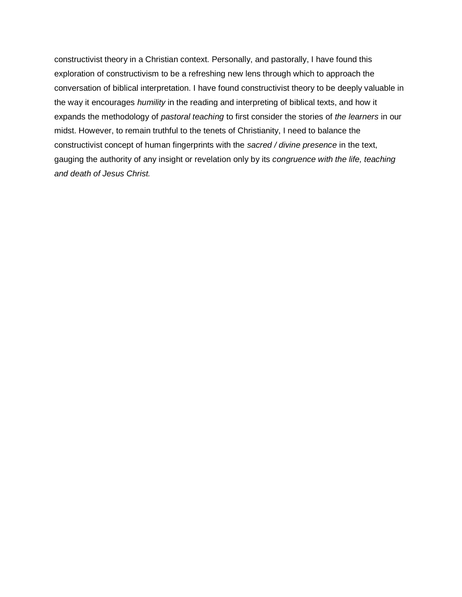constructivist theory in a Christian context. Personally, and pastorally, I have found this exploration of constructivism to be a refreshing new lens through which to approach the conversation of biblical interpretation. I have found constructivist theory to be deeply valuable in the way it encourages *humility* in the reading and interpreting of biblical texts, and how it expands the methodology of *pastoral teaching* to first consider the stories of *the learners* in our midst. However, to remain truthful to the tenets of Christianity, I need to balance the constructivist concept of human fingerprints with the *sacred / divine presence* in the text, gauging the authority of any insight or revelation only by its *congruence with the life, teaching and death of Jesus Christ.*